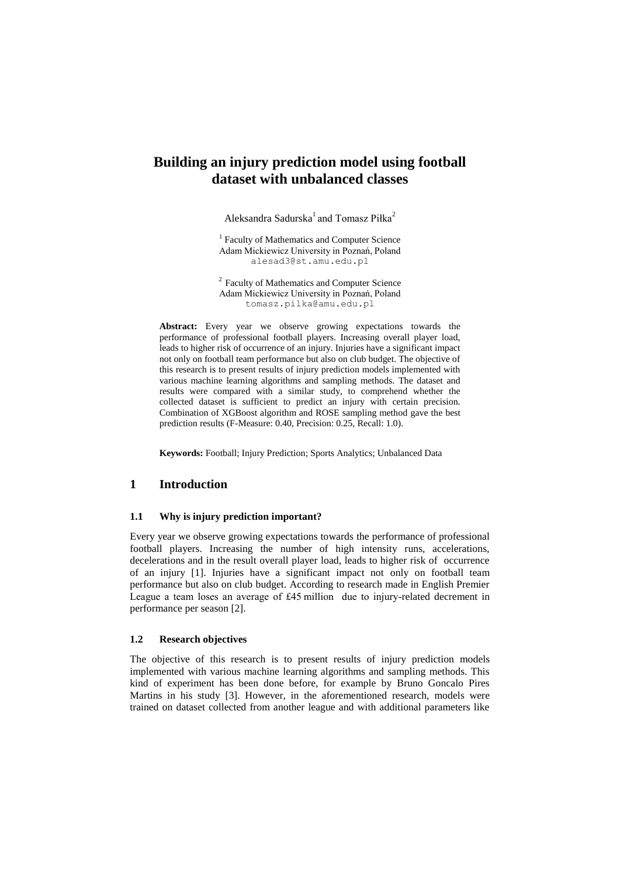# **Building an injury prediction model using football dataset with unbalanced classes**

Aleksandra Sadurska $^1$  and Tomasz Piłka $^2$ 

<sup>1</sup> Faculty of Mathematics and Computer Science Adam Mickiewicz University in Poznań, Poland alesad3@st.amu.edu.pl

<sup>2</sup> Faculty of Mathematics and Computer Science Adam Mickiewicz University in Poznań, Poland tomasz.pilka@amu.edu.pl

**Abstract:** Every year we observe growing expectations towards the performance of professional football players. Increasing overall player load, leads to higher risk of occurrence of an injury. Injuries have a significant impact not only on football team performance but also on club budget. The objective of this research is to present results of injury prediction models implemented with various machine learning algorithms and sampling methods. The dataset and results were compared with a similar study, to comprehend whether the collected dataset is sufficient to predict an injury with certain precision. Combination of XGBoost algorithm and ROSE sampling method gave the best prediction results (F-Measure: 0.40, Precision: 0.25, Recall: 1.0).

**Keywords:** Football; Injury Prediction; Sports Analytics; Unbalanced Data

### **1 Introduction**

#### **1.1 Why is injury prediction important?**

Every year we observe growing expectations towards the performance of professional football players. Increasing the number of high intensity runs, accelerations, decelerations and in the result overall player load, leads to higher risk of occurrence of an injury [1]. Injuries have a significant impact not only on football team performance but also on club budget. According to research made in English Premier League a team loses an average of £45 million due to injury-related decrement in performance per season [2].

#### **1.2 Research objectives**

The objective of this research is to present results of injury prediction models implemented with various machine learning algorithms and sampling methods. This kind of experiment has been done before, for example by Bruno Goncalo Pires Martins in his study [3]. However, in the aforementioned research, models were trained on dataset collected from another league and with additional parameters like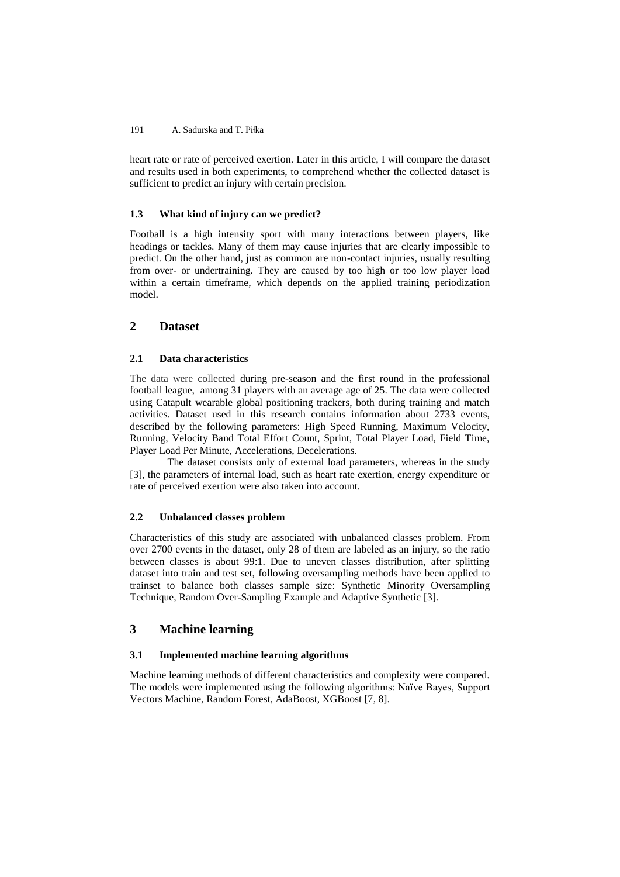#### 191 A. Sadurska and T. Piłka

heart rate or rate of perceived exertion. Later in this article, I will compare the dataset and results used in both experiments, to comprehend whether the collected dataset is sufficient to predict an injury with certain precision.

#### **1.3 What kind of injury can we predict?**

Football is a high intensity sport with many interactions between players, like headings or tackles. Many of them may cause injuries that are clearly impossible to predict. On the other hand, just as common are non-contact injuries, usually resulting from over- or undertraining. They are caused by too high or too low player load within a certain timeframe, which depends on the applied training periodization model.

# **2 Dataset**

### **2.1 Data characteristics**

The data were collected during pre-season and the first round in the professional football league, among 31 players with an average age of 25. The data were collected using Catapult wearable global positioning trackers, both during training and match activities. Dataset used in this research contains information about 2733 events, described by the following parameters: High Speed Running, Maximum Velocity, Running, Velocity Band Total Effort Count, Sprint, Total Player Load, Field Time, Player Load Per Minute, Accelerations, Decelerations.

The dataset consists only of external load parameters, whereas in the study [3], the parameters of internal load, such as heart rate exertion, energy expenditure or rate of perceived exertion were also taken into account.

#### **2.2 Unbalanced classes problem**

Characteristics of this study are associated with unbalanced classes problem. From over 2700 events in the dataset, only 28 of them are labeled as an injury, so the ratio between classes is about 99:1. Due to uneven classes distribution, after splitting dataset into train and test set, following oversampling methods have been applied to trainset to balance both classes sample size: Synthetic Minority Oversampling Technique, Random Over-Sampling Example and Adaptive Synthetic [3].

## **3 Machine learning**

### **3.1 Implemented machine learning algorithms**

Machine learning methods of different characteristics and complexity were compared. The models were implemented using the following algorithms: Naïve Bayes, Support Vectors Machine, Random Forest, AdaBoost, XGBoost [7, 8].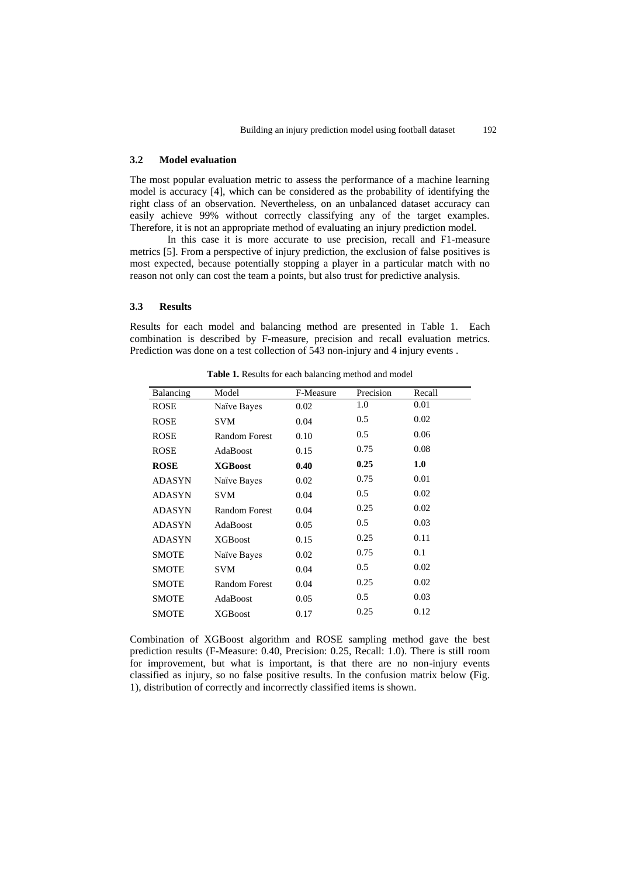#### **3.2 Model evaluation**

The most popular evaluation metric to assess the performance of a machine learning model is accuracy [4], which can be considered as the probability of identifying the right class of an observation. Nevertheless, on an unbalanced dataset accuracy can easily achieve 99% without correctly classifying any of the target examples. Therefore, it is not an appropriate method of evaluating an injury prediction model.

In this case it is more accurate to use precision, recall and F1-measure metrics [5]. From a perspective of injury prediction, the exclusion of false positives is most expected, because potentially stopping a player in a particular match with no reason not only can cost the team a points, but also trust for predictive analysis.

#### **3.3 Results**

Results for each model and balancing method are presented in Table 1. Each combination is described by F-measure, precision and recall evaluation metrics. Prediction was done on a test collection of 543 non-injury and 4 injury events .

| Balancing     | Model                | F-Measure | Precision | Recall |
|---------------|----------------------|-----------|-----------|--------|
| ROSE          | Naïve Bayes          | 0.02      | 1.0       | 0.01   |
| ROSE          | <b>SVM</b>           | 0.04      | 0.5       | 0.02   |
| <b>ROSE</b>   | <b>Random Forest</b> | 0.10      | 0.5       | 0.06   |
| ROSE          | AdaBoost             | 0.15      | 0.75      | 0.08   |
| <b>ROSE</b>   | <b>XGBoost</b>       | 0.40      | 0.25      | 1.0    |
| ADASYN        | Naïve Bayes          | 0.02      | 0.75      | 0.01   |
| <b>ADASYN</b> | <b>SVM</b>           | 0.04      | 0.5       | 0.02   |
| <b>ADASYN</b> | <b>Random Forest</b> | 0.04      | 0.25      | 0.02   |
| <b>ADASYN</b> | AdaBoost             | 0.05      | 0.5       | 0.03   |
| <b>ADASYN</b> | <b>XGBoost</b>       | 0.15      | 0.25      | 0.11   |
| <b>SMOTE</b>  | Naïve Bayes          | 0.02      | 0.75      | 0.1    |
| <b>SMOTE</b>  | <b>SVM</b>           | 0.04      | 0.5       | 0.02   |
| <b>SMOTE</b>  | <b>Random Forest</b> | 0.04      | 0.25      | 0.02   |
| <b>SMOTE</b>  | AdaBoost             | 0.05      | 0.5       | 0.03   |
| <b>SMOTE</b>  | <b>XGBoost</b>       | 0.17      | 0.25      | 0.12   |
|               |                      |           |           |        |

**Table 1.** Results for each balancing method and model

Combination of XGBoost algorithm and ROSE sampling method gave the best prediction results (F-Measure: 0.40, Precision: 0.25, Recall: 1.0). There is still room for improvement, but what is important, is that there are no non-injury events classified as injury, so no false positive results. In the confusion matrix below (Fig. 1), distribution of correctly and incorrectly classified items is shown.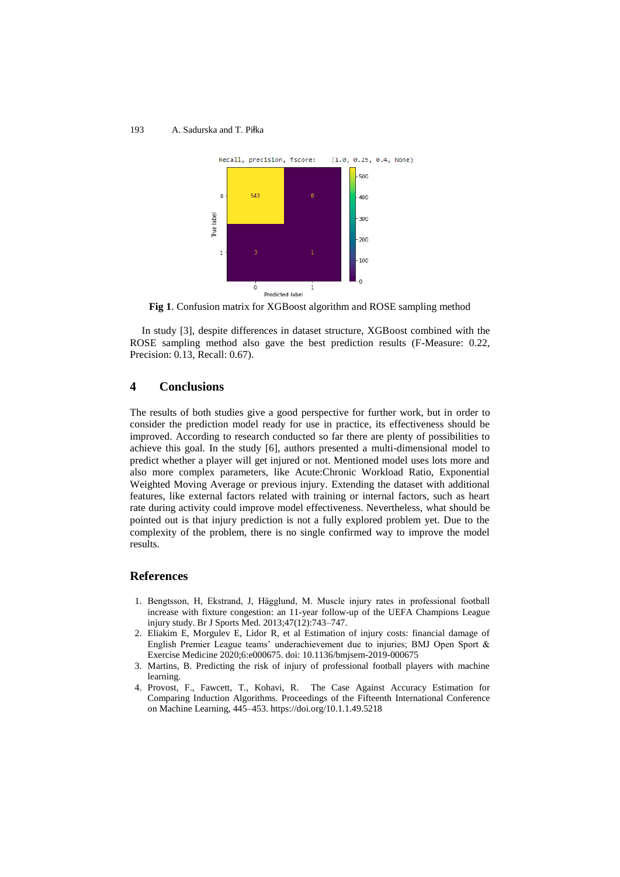#### 193 A. Sadurska and T. Piłka



**Fig 1**. Confusion matrix for XGBoost algorithm and ROSE sampling method

In study [3], despite differences in dataset structure, XGBoost combined with the ROSE sampling method also gave the best prediction results (F-Measure: 0.22, Precision: 0.13, Recall: 0.67).

# **4 Conclusions**

The results of both studies give a good perspective for further work, but in order to consider the prediction model ready for use in practice, its effectiveness should be improved. According to research conducted so far there are plenty of possibilities to achieve this goal. In the study [6], authors presented a multi-dimensional model to predict whether a player will get injured or not. Mentioned model uses lots more and also more complex parameters, like Acute:Chronic Workload Ratio, Exponential Weighted Moving Average or previous injury. Extending the dataset with additional features, like external factors related with training or internal factors, such as heart rate during activity could improve model effectiveness. Nevertheless, what should be pointed out is that injury prediction is not a fully explored problem yet. Due to the complexity of the problem, there is no single confirmed way to improve the model results.

### **References**

- 1. Bengtsson, H, Ekstrand, J, Hägglund, M. Muscle injury rates in professional football increase with fixture congestion: an 11-year follow-up of the UEFA Champions League injury study. Br J Sports Med. 2013;47(12):743–747.
- 2. Eliakim E, Morgulev E, Lidor R, et al Estimation of injury costs: financial damage of English Premier League teams' underachievement due to injuries; BMJ Open Sport & Exercise Medicine 2020;6:e000675. doi: 10.1136/bmjsem-2019-000675
- 3. Martins, B. Predicting the risk of injury of professional football players with machine learning.
- 4. Provost, F., Fawcett, T., Kohavi, R. The Case Against Accuracy Estimation for Comparing Induction Algorithms. Proceedings of the Fifteenth International Conference on Machine Learning, 445–453.<https://doi.org/10.1.1.49.5218>